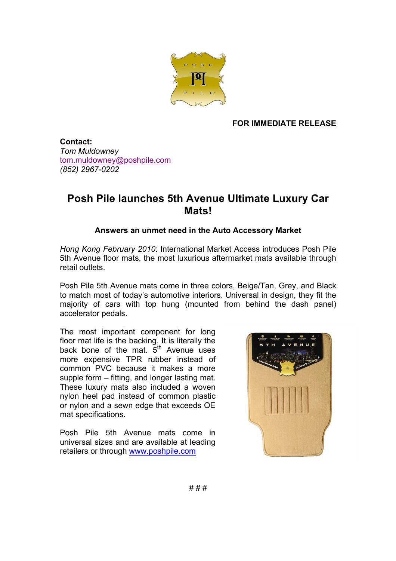

## **FOR IMMEDIATE RELEASE**

**Contact:** *Tom Muldowney* tom.muldowney@poshpile.com *(852) 2967-0202*

## **Posh Pile launches 5th Avenue Ultimate Luxury Car Mats!**

## **Answers an unmet need in the Auto Accessory Market**

*Hong Kong February 2010*: International Market Access introduces Posh Pile 5th Avenue floor mats, the most luxurious aftermarket mats available through retail outlets.

Posh Pile 5th Avenue mats come in three colors, Beige/Tan, Grey, and Black to match most of today's automotive interiors. Universal in design, they fit the majority of cars with top hung (mounted from behind the dash panel) accelerator pedals.

The most important component for long floor mat life is the backing. It is literally the back bone of the mat.  $5<sup>th</sup>$  Avenue uses more expensive TPR rubber instead of common PVC because it makes a more supple form – fitting, and longer lasting mat. These luxury mats also included a woven nylon heel pad instead of common plastic or nylon and a sewn edge that exceeds OE mat specifications.

Posh Pile 5th Avenue mats come in universal sizes and are available at leading retailers or through www.poshpile.com